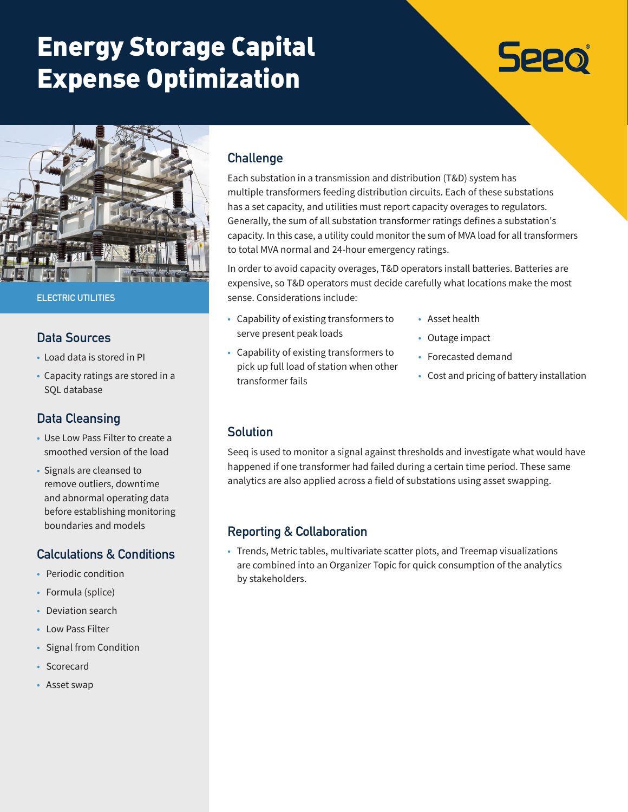# Energy Storage Capital Expense Optimization

# **Seeo**



#### **ELECTRIC UTILITIES**

#### **Data Sources**

- Load data is stored in PI
- Capacity ratings are stored in a SQL database

# **Data Cleansing**

- Use Low Pass Filter to create a smoothed version of the load
- Signals are cleansed to remove outliers, downtime and abnormal operating data before establishing monitoring boundaries and models

#### **Calculations & Conditions**

- Periodic condition
- Formula (splice)
- Deviation search
- Low Pass Filter
- Signal from Condition
- Scorecard
- Asset swap

## **Challenge**

Each substation in a transmission and distribution (T&D) system has multiple transformers feeding distribution circuits. Each of these substations has a set capacity, and utilities must report capacity overages to regulators. Generally, the sum of all substation transformer ratings defines a substation's capacity. In this case, a utility could monitor the sum of MVA load for all transformers to total MVA normal and 24-hour emergency ratings.

In order to avoid capacity overages, T&D operators install batteries. Batteries are expensive, so T&D operators must decide carefully what locations make the most sense. Considerations include:

• Capability of existing transformers to serve present peak loads

• Capability of existing transformers to pick up full load of station when other

- Asset health
- Outage impact
- Forecasted demand
	- Cost and pricing of battery installation

#### **Solution**

transformer fails

Seeq is used to monitor a signal against thresholds and investigate what would have happened if one transformer had failed during a certain time period. These same analytics are also applied across a field of substations using asset swapping.

#### **Reporting & Collaboration**

• Trends, Metric tables, multivariate scatter plots, and Treemap visualizations are combined into an Organizer Topic for quick consumption of the analytics by stakeholders.